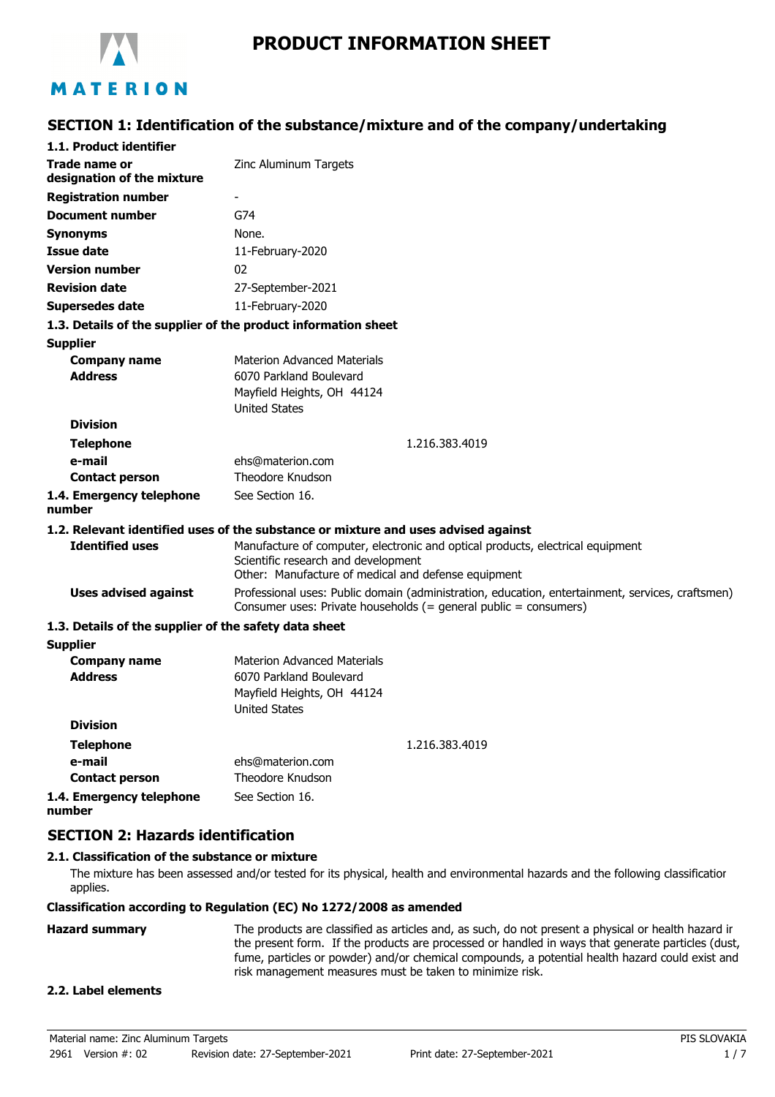

# **PRODUCT INFORMATION SHEET**

# **SECTION 1: Identification of the substance/mixture and of the company/undertaking**

| 1.1. Product identifier                               |                                                                                                                                                                      |  |  |
|-------------------------------------------------------|----------------------------------------------------------------------------------------------------------------------------------------------------------------------|--|--|
| Trade name or<br>designation of the mixture           | Zinc Aluminum Targets                                                                                                                                                |  |  |
| <b>Registration number</b>                            |                                                                                                                                                                      |  |  |
| <b>Document number</b>                                | G74                                                                                                                                                                  |  |  |
| <b>Synonyms</b>                                       | None.                                                                                                                                                                |  |  |
| <b>Issue date</b>                                     | 11-February-2020                                                                                                                                                     |  |  |
| <b>Version number</b>                                 | 02                                                                                                                                                                   |  |  |
| <b>Revision date</b>                                  | 27-September-2021                                                                                                                                                    |  |  |
| Supersedes date                                       | 11-February-2020                                                                                                                                                     |  |  |
|                                                       | 1.3. Details of the supplier of the product information sheet                                                                                                        |  |  |
| <b>Supplier</b>                                       |                                                                                                                                                                      |  |  |
| <b>Company name</b>                                   | <b>Materion Advanced Materials</b>                                                                                                                                   |  |  |
| <b>Address</b>                                        | 6070 Parkland Boulevard                                                                                                                                              |  |  |
|                                                       | Mayfield Heights, OH 44124                                                                                                                                           |  |  |
|                                                       | <b>United States</b>                                                                                                                                                 |  |  |
| <b>Division</b>                                       |                                                                                                                                                                      |  |  |
| <b>Telephone</b>                                      | 1.216.383.4019                                                                                                                                                       |  |  |
| e-mail<br><b>Contact person</b>                       | ehs@materion.com<br>Theodore Knudson                                                                                                                                 |  |  |
| 1.4. Emergency telephone                              | See Section 16.                                                                                                                                                      |  |  |
| number                                                |                                                                                                                                                                      |  |  |
|                                                       | 1.2. Relevant identified uses of the substance or mixture and uses advised against                                                                                   |  |  |
| <b>Identified uses</b>                                | Manufacture of computer, electronic and optical products, electrical equipment                                                                                       |  |  |
|                                                       | Scientific research and development                                                                                                                                  |  |  |
|                                                       | Other: Manufacture of medical and defense equipment                                                                                                                  |  |  |
| <b>Uses advised against</b>                           | Professional uses: Public domain (administration, education, entertainment, services, craftsmen)<br>Consumer uses: Private households (= general public = consumers) |  |  |
| 1.3. Details of the supplier of the safety data sheet |                                                                                                                                                                      |  |  |
| <b>Supplier</b>                                       |                                                                                                                                                                      |  |  |
| <b>Company name</b>                                   | <b>Materion Advanced Materials</b>                                                                                                                                   |  |  |
| <b>Address</b>                                        | 6070 Parkland Boulevard                                                                                                                                              |  |  |
|                                                       | Mayfield Heights, OH 44124                                                                                                                                           |  |  |
| <b>Division</b>                                       | <b>United States</b>                                                                                                                                                 |  |  |
|                                                       |                                                                                                                                                                      |  |  |
| <b>Telephone</b>                                      | 1.216.383.4019                                                                                                                                                       |  |  |
| e-mail<br><b>Contact person</b>                       | ehs@materion.com<br>Theodore Knudson                                                                                                                                 |  |  |
| 1.4. Emergency telephone                              | See Section 16.                                                                                                                                                      |  |  |
|                                                       |                                                                                                                                                                      |  |  |

**number**

## **SECTION 2: Hazards identification**

#### **2.1. Classification of the substance or mixture**

The mixture has been assessed and/or tested for its physical, health and environmental hazards and the following classification applies.

#### **Classification according to Regulation (EC) No 1272/2008 as amended**

Hazard summary The products are classified as articles and, as such, do not present a physical or health hazard in the present form. If the products are processed or handled in ways that generate particles (dust, fume, particles or powder) and/or chemical compounds, a potential health hazard could exist and risk management measures must be taken to minimize risk.

### **2.2. Label elements**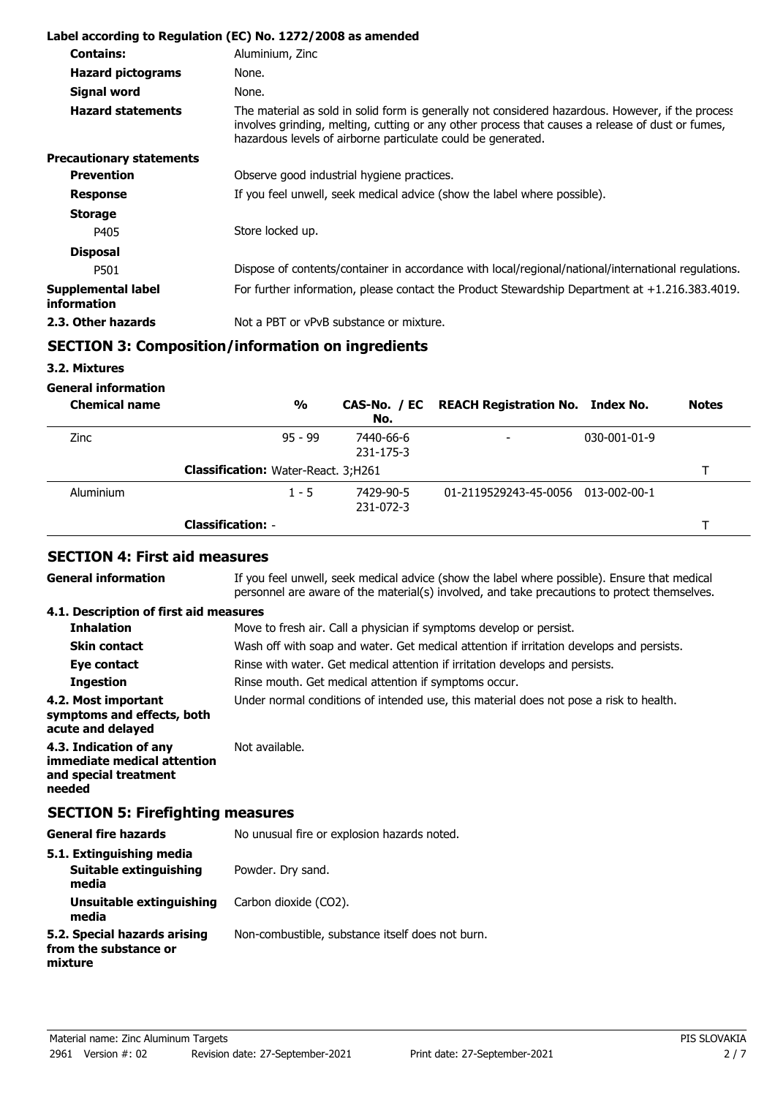|                                   | Label according to Regulation (EC) No. 1272/2008 as amended                                                                                                                                                                                                           |
|-----------------------------------|-----------------------------------------------------------------------------------------------------------------------------------------------------------------------------------------------------------------------------------------------------------------------|
| <b>Contains:</b>                  | Aluminium, Zinc                                                                                                                                                                                                                                                       |
| <b>Hazard pictograms</b>          | None.                                                                                                                                                                                                                                                                 |
| Signal word                       | None.                                                                                                                                                                                                                                                                 |
| <b>Hazard statements</b>          | The material as sold in solid form is generally not considered hazardous. However, if the process<br>involves grinding, melting, cutting or any other process that causes a release of dust or fumes,<br>hazardous levels of airborne particulate could be generated. |
| <b>Precautionary statements</b>   |                                                                                                                                                                                                                                                                       |
| <b>Prevention</b>                 | Observe good industrial hygiene practices.                                                                                                                                                                                                                            |
| <b>Response</b>                   | If you feel unwell, seek medical advice (show the label where possible).                                                                                                                                                                                              |
| <b>Storage</b>                    |                                                                                                                                                                                                                                                                       |
| P405                              | Store locked up.                                                                                                                                                                                                                                                      |
| <b>Disposal</b>                   |                                                                                                                                                                                                                                                                       |
| P501                              | Dispose of contents/container in accordance with local/regional/national/international regulations.                                                                                                                                                                   |
| Supplemental label<br>information | For further information, please contact the Product Stewardship Department at $+1.216.383.4019$ .                                                                                                                                                                     |
| 2.3. Other hazards                | Not a PBT or vPvB substance or mixture.                                                                                                                                                                                                                               |

# **SECTION 3: Composition/information on ingredients**

## **3.2. Mixtures**

**General information**

| <b>Chemical name</b> |                                            | %         | No.                    | CAS-No. / EC REACH Registration No. Index No. |                      | <b>Notes</b> |
|----------------------|--------------------------------------------|-----------|------------------------|-----------------------------------------------|----------------------|--------------|
| Zinc                 |                                            | $95 - 99$ | 7440-66-6<br>231-175-3 | -                                             | $030 - 001 - 01 - 9$ |              |
|                      | <b>Classification:</b> Water-React. 3;H261 |           |                        |                                               |                      |              |
| Aluminium            |                                            | $1 - 5$   | 7429-90-5<br>231-072-3 | 01-2119529243-45-0056 013-002-00-1            |                      |              |
|                      | <b>Classification: -</b>                   |           |                        |                                               |                      |              |

# **SECTION 4: First aid measures**

| <b>General information</b>                                                               | If you feel unwell, seek medical advice (show the label where possible). Ensure that medical<br>personnel are aware of the material(s) involved, and take precautions to protect themselves. |
|------------------------------------------------------------------------------------------|----------------------------------------------------------------------------------------------------------------------------------------------------------------------------------------------|
| 4.1. Description of first aid measures                                                   |                                                                                                                                                                                              |
| <b>Inhalation</b>                                                                        | Move to fresh air. Call a physician if symptoms develop or persist.                                                                                                                          |
| <b>Skin contact</b>                                                                      | Wash off with soap and water. Get medical attention if irritation develops and persists.                                                                                                     |
| Eye contact                                                                              | Rinse with water. Get medical attention if irritation develops and persists.                                                                                                                 |
| <b>Ingestion</b>                                                                         | Rinse mouth. Get medical attention if symptoms occur.                                                                                                                                        |
| 4.2. Most important<br>symptoms and effects, both<br>acute and delayed                   | Under normal conditions of intended use, this material does not pose a risk to health.                                                                                                       |
| 4.3. Indication of any<br>immediate medical attention<br>and special treatment<br>needed | Not available.                                                                                                                                                                               |
| <b>SECTION 5: Firefighting measures</b>                                                  |                                                                                                                                                                                              |
| <b>General fire hazards</b>                                                              | No unusual fire or explosion hazards noted.                                                                                                                                                  |
| 5.1. Extinguishing media<br><b>Suitable extinguishing</b><br>media                       | Powder. Dry sand.                                                                                                                                                                            |
| Unsuitable extinguishing<br>media                                                        | Carbon dioxide (CO2).                                                                                                                                                                        |
| 5.2. Special hazards arising<br>from the substance or<br>mixture                         | Non-combustible, substance itself does not burn.                                                                                                                                             |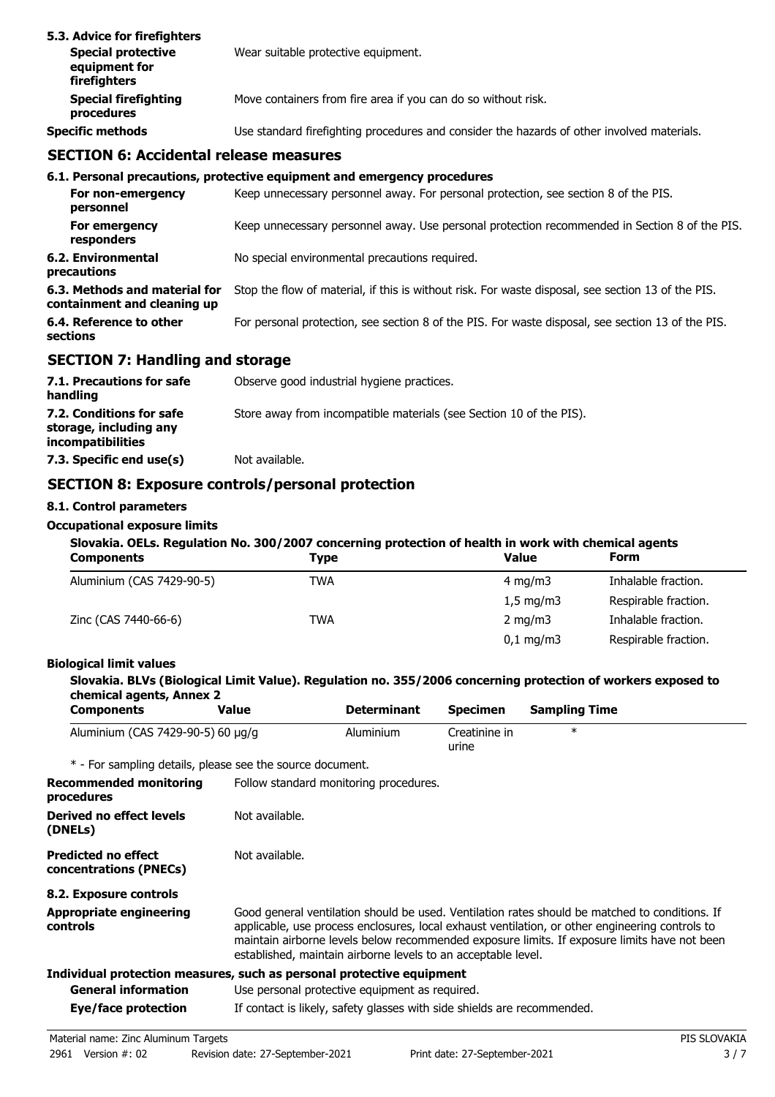| 5.3. Advice for firefighters<br><b>Special protective</b><br>equipment for<br>firefighters | Wear suitable protective equipment.                                                        |
|--------------------------------------------------------------------------------------------|--------------------------------------------------------------------------------------------|
| <b>Special firefighting</b><br>procedures                                                  | Move containers from fire area if you can do so without risk.                              |
| <b>Specific methods</b>                                                                    | Use standard firefighting procedures and consider the hazards of other involved materials. |

## **SECTION 6: Accidental release measures**

|                                                              | 6.1. Personal precautions, protective equipment and emergency procedures                           |
|--------------------------------------------------------------|----------------------------------------------------------------------------------------------------|
| For non-emergency<br>personnel                               | Keep unnecessary personnel away. For personal protection, see section 8 of the PIS.                |
| For emergency<br>responders                                  | Keep unnecessary personnel away. Use personal protection recommended in Section 8 of the PIS.      |
| 6.2. Environmental<br>precautions                            | No special environmental precautions required.                                                     |
| 6.3. Methods and material for<br>containment and cleaning up | Stop the flow of material, if this is without risk. For waste disposal, see section 13 of the PIS. |
| 6.4. Reference to other<br><b>sections</b>                   | For personal protection, see section 8 of the PIS. For waste disposal, see section 13 of the PIS.  |

# **SECTION 7: Handling and storage**

| 7.1. Precautions for safe<br>handling                                          | Observe good industrial hygiene practices.                          |
|--------------------------------------------------------------------------------|---------------------------------------------------------------------|
| 7.2. Conditions for safe<br>storage, including any<br><i>incompatibilities</i> | Store away from incompatible materials (see Section 10 of the PIS). |
| 7.3. Specific end use(s)                                                       | Not available.                                                      |

# **SECTION 8: Exposure controls/personal protection**

### **8.1. Control parameters**

#### **Occupational exposure limits**

| Slovakia. OELs. Regulation No. 300/2007 concerning protection of health in work with chemical agents |             |                    |                      |
|------------------------------------------------------------------------------------------------------|-------------|--------------------|----------------------|
| <b>Components</b>                                                                                    | <b>Type</b> | Value              | <b>Form</b>          |
| Aluminium (CAS 7429-90-5)                                                                            | TWA         | $4 \text{ ma/m}$ 3 | Inhalable fraction.  |
|                                                                                                      |             | $1.5 \text{ mg/m}$ | Respirable fraction. |
| Zinc (CAS 7440-66-6)                                                                                 | TWA         | $2 \text{ ma/m}$   | Inhalable fraction.  |

### **Biological limit values**

### **Slovakia. BLVs (Biological Limit Value). Regulation no. 355/2006 concerning protection of workers exposed to chemical agents, Annex 2**

| <b>Components</b>                 | Value | <b>Determinant</b> | Specimen               | Sampling Time |  |
|-----------------------------------|-------|--------------------|------------------------|---------------|--|
| Aluminium (CAS 7429-90-5) 60 µg/g |       | Aluminium          | Creatinine in<br>urıne |               |  |

\* - For sampling details, please see the source document.

| <b>Recommended monitoring</b><br>procedures          | Follow standard monitoring procedures.                                                                                                                                                                                                                                                                                                                             |
|------------------------------------------------------|--------------------------------------------------------------------------------------------------------------------------------------------------------------------------------------------------------------------------------------------------------------------------------------------------------------------------------------------------------------------|
| Derived no effect levels<br>(DNELs)                  | Not available.                                                                                                                                                                                                                                                                                                                                                     |
| <b>Predicted no effect</b><br>concentrations (PNECs) | Not available.                                                                                                                                                                                                                                                                                                                                                     |
| 8.2. Exposure controls                               |                                                                                                                                                                                                                                                                                                                                                                    |
| <b>Appropriate engineering</b><br>controls           | Good general ventilation should be used. Ventilation rates should be matched to conditions. If<br>applicable, use process enclosures, local exhaust ventilation, or other engineering controls to<br>maintain airborne levels below recommended exposure limits. If exposure limits have not been<br>established, maintain airborne levels to an acceptable level. |
|                                                      | Individual protection measures, such as personal protective equipment                                                                                                                                                                                                                                                                                              |
| <b>General information</b>                           | Use personal protective equipment as required.                                                                                                                                                                                                                                                                                                                     |
| Eye/face protection                                  | If contact is likely, safety glasses with side shields are recommended.                                                                                                                                                                                                                                                                                            |

0,1 mg/m3 Respirable fraction.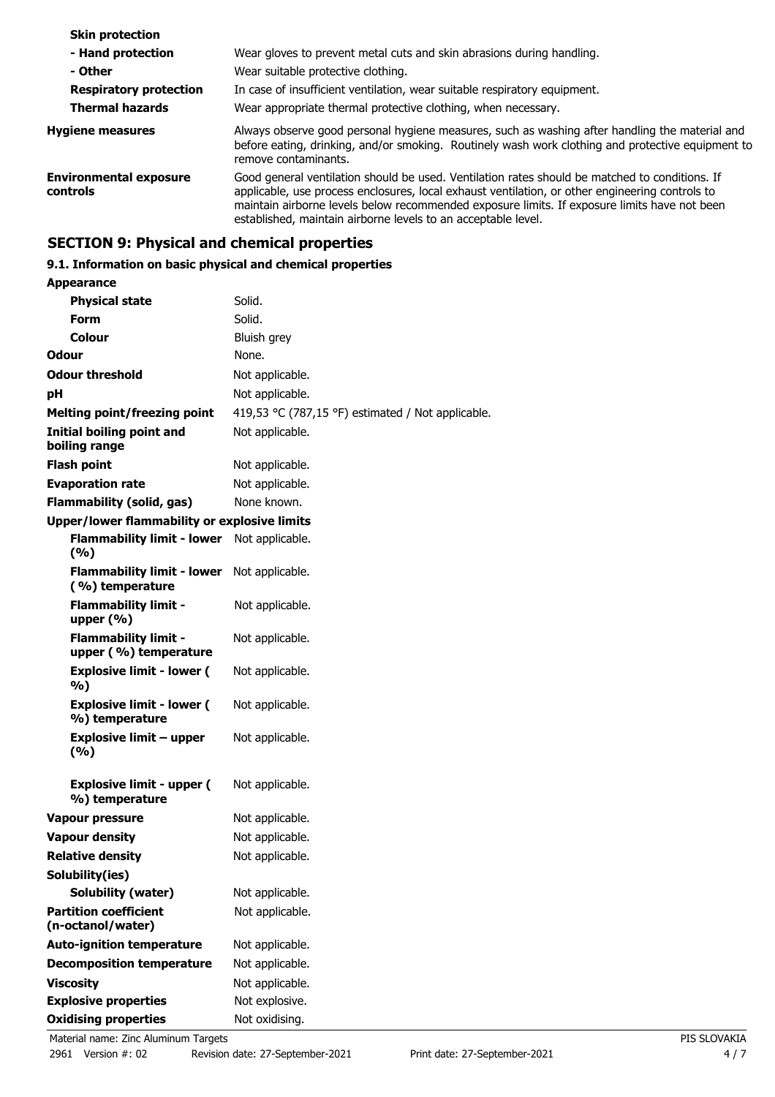| Wear gloves to prevent metal cuts and skin abrasions during handling.                                                                                                                                                                                                                                                                                              |
|--------------------------------------------------------------------------------------------------------------------------------------------------------------------------------------------------------------------------------------------------------------------------------------------------------------------------------------------------------------------|
| Wear suitable protective clothing.                                                                                                                                                                                                                                                                                                                                 |
| In case of insufficient ventilation, wear suitable respiratory equipment.                                                                                                                                                                                                                                                                                          |
| Wear appropriate thermal protective clothing, when necessary.                                                                                                                                                                                                                                                                                                      |
| Always observe good personal hygiene measures, such as washing after handling the material and<br>before eating, drinking, and/or smoking. Routinely wash work clothing and protective equipment to<br>remove contaminants.                                                                                                                                        |
| Good general ventilation should be used. Ventilation rates should be matched to conditions. If<br>applicable, use process enclosures, local exhaust ventilation, or other engineering controls to<br>maintain airborne levels below recommended exposure limits. If exposure limits have not been<br>established, maintain airborne levels to an acceptable level. |
|                                                                                                                                                                                                                                                                                                                                                                    |

# **SECTION 9: Physical and chemical properties**

# **9.1. Information on basic physical and chemical properties**

| <b>Appearance</b>                                    |                                                   |
|------------------------------------------------------|---------------------------------------------------|
| <b>Physical state</b>                                | Solid.                                            |
| Form                                                 | Solid.                                            |
| Colour                                               | Bluish grey                                       |
| Odour                                                | None.                                             |
| <b>Odour threshold</b>                               | Not applicable.                                   |
| рH                                                   | Not applicable.                                   |
| <b>Melting point/freezing point</b>                  | 419,53 °C (787,15 °F) estimated / Not applicable. |
| <b>Initial boiling point and</b><br>boiling range    | Not applicable.                                   |
| <b>Flash point</b>                                   | Not applicable.                                   |
| <b>Evaporation rate</b>                              | Not applicable.                                   |
| <b>Flammability (solid, gas)</b>                     | None known.                                       |
| <b>Upper/lower flammability or explosive limits</b>  |                                                   |
| <b>Flammability limit - lower</b><br>(%)             | Not applicable.                                   |
| <b>Flammability limit - lower</b><br>(%) temperature | Not applicable.                                   |
| <b>Flammability limit -</b><br>upper $(\% )$         | Not applicable.                                   |
| <b>Flammability limit -</b><br>upper (%) temperature | Not applicable.                                   |
| <b>Explosive limit - lower (</b><br>%)               | Not applicable.                                   |
| <b>Explosive limit - lower (</b><br>%) temperature   | Not applicable.                                   |
| <b>Explosive limit - upper</b><br>(%)                | Not applicable.                                   |
| <b>Explosive limit - upper (</b><br>%) temperature   | Not applicable.                                   |
| Vapour pressure                                      | Not applicable.                                   |
| <b>Vapour density</b>                                | Not applicable.                                   |
| <b>Relative density</b>                              | Not applicable.                                   |
| Solubility(ies)                                      |                                                   |
| Solubility (water)                                   | Not applicable.                                   |
| <b>Partition coefficient</b><br>(n-octanol/water)    | Not applicable.                                   |
| <b>Auto-ignition temperature</b>                     | Not applicable.                                   |
| <b>Decomposition temperature</b>                     | Not applicable.                                   |
| <b>Viscosity</b>                                     | Not applicable.                                   |
| <b>Explosive properties</b>                          | Not explosive.                                    |
| <b>Oxidising properties</b>                          | Not oxidising.                                    |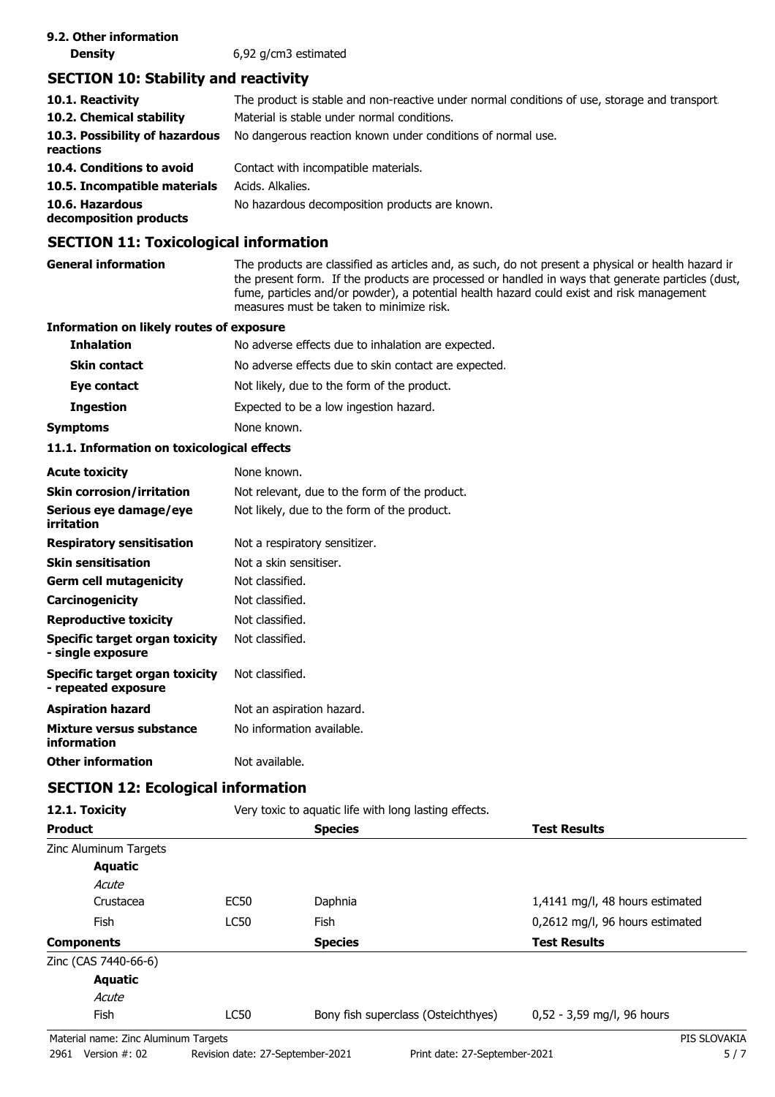## **SECTION 10: Stability and reactivity**

| 10.1. Reactivity                            | The product is stable and non-reactive under normal conditions of use, storage and transport. |
|---------------------------------------------|-----------------------------------------------------------------------------------------------|
| 10.2. Chemical stability                    | Material is stable under normal conditions.                                                   |
| 10.3. Possibility of hazardous<br>reactions | No dangerous reaction known under conditions of normal use.                                   |
| 10.4. Conditions to avoid                   | Contact with incompatible materials.                                                          |
| 10.5. Incompatible materials                | Acids. Alkalies.                                                                              |
| 10.6. Hazardous<br>decomposition products   | No hazardous decomposition products are known.                                                |
|                                             |                                                                                               |

## **SECTION 11: Toxicological information**

**General information** The products are classified as articles and, as such, do not present a physical or health hazard in the present form. If the products are processed or handled in ways that generate particles (dust, fume, particles and/or powder), a potential health hazard could exist and risk management measures must be taken to minimize risk.

#### **Information on likely routes of exposure**

| <b>Inhalation</b>   | No adverse effects due to inhalation are expected.   |
|---------------------|------------------------------------------------------|
| <b>Skin contact</b> | No adverse effects due to skin contact are expected. |
| Eye contact         | Not likely, due to the form of the product.          |
| <b>Ingestion</b>    | Expected to be a low ingestion hazard.               |
| Symptoms            | None known.                                          |

#### **11.1. Information on toxicological effects**

| <b>Acute toxicity</b>                                 | None known.                                   |
|-------------------------------------------------------|-----------------------------------------------|
| <b>Skin corrosion/irritation</b>                      | Not relevant, due to the form of the product. |
| Serious eye damage/eye<br>irritation                  | Not likely, due to the form of the product.   |
| <b>Respiratory sensitisation</b>                      | Not a respiratory sensitizer.                 |
| <b>Skin sensitisation</b>                             | Not a skin sensitiser.                        |
| <b>Germ cell mutagenicity</b>                         | Not classified.                               |
| <b>Carcinogenicity</b>                                | Not classified.                               |
| <b>Reproductive toxicity</b>                          | Not classified.                               |
| Specific target organ toxicity<br>- single exposure   | Not classified.                               |
| Specific target organ toxicity<br>- repeated exposure | Not classified.                               |
| <b>Aspiration hazard</b>                              | Not an aspiration hazard.                     |
| Mixture versus substance<br>information               | No information available.                     |
| <b>Other information</b>                              | Not available.                                |

### **SECTION 12: Ecological information**

| 12.1. Toxicity                       |             | Very toxic to aquatic life with long lasting effects. |                                 |
|--------------------------------------|-------------|-------------------------------------------------------|---------------------------------|
| <b>Product</b>                       |             | <b>Species</b>                                        | <b>Test Results</b>             |
| Zinc Aluminum Targets                |             |                                                       |                                 |
| Aquatic                              |             |                                                       |                                 |
| Acute                                |             |                                                       |                                 |
| Crustacea                            | <b>EC50</b> | Daphnia                                               | 1,4141 mg/l, 48 hours estimated |
| <b>Fish</b>                          | <b>LC50</b> | <b>Fish</b>                                           | 0,2612 mg/l, 96 hours estimated |
| <b>Components</b>                    |             | <b>Species</b>                                        | <b>Test Results</b>             |
| Zinc (CAS 7440-66-6)                 |             |                                                       |                                 |
| <b>Aquatic</b>                       |             |                                                       |                                 |
| Acute                                |             |                                                       |                                 |
| <b>Fish</b>                          | <b>LC50</b> | Bony fish superclass (Osteichthyes)                   | 0,52 - 3,59 mg/l, 96 hours      |
| Material name: Zinc Aluminum Targets |             |                                                       | PIS SLOVAKIA                    |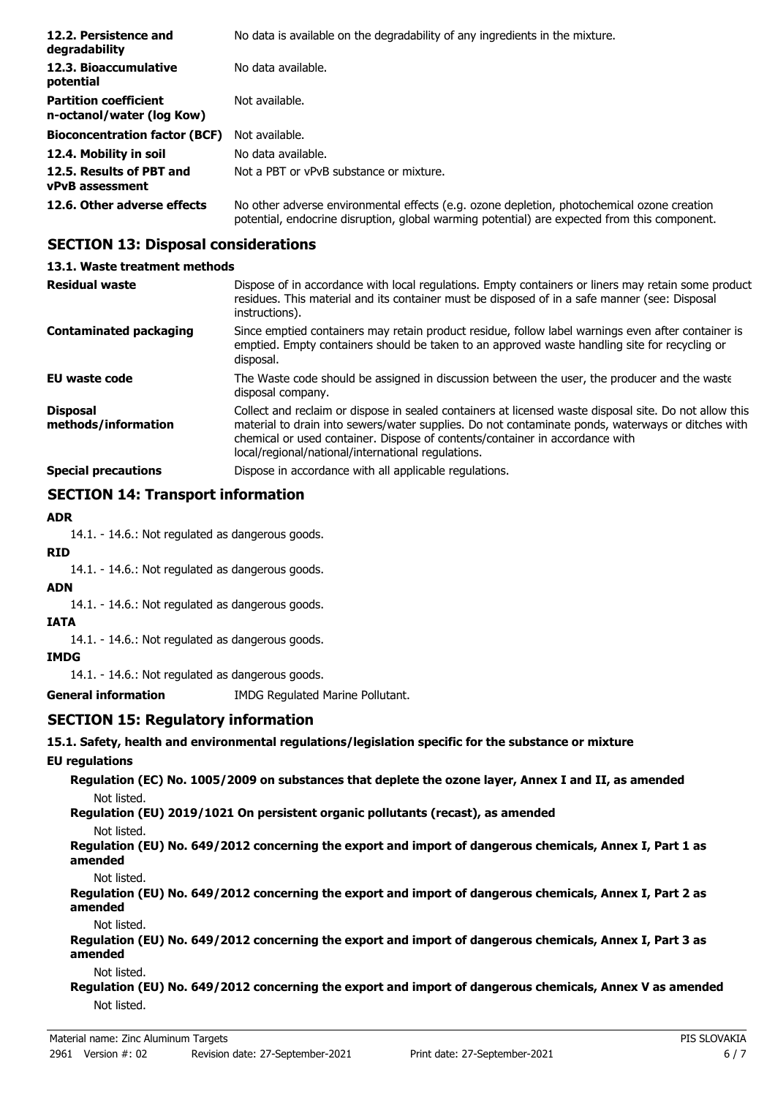| 12.2. Persistence and<br>degradability                    | No data is available on the degradability of any ingredients in the mixture.                                                                                                               |
|-----------------------------------------------------------|--------------------------------------------------------------------------------------------------------------------------------------------------------------------------------------------|
| 12.3. Bioaccumulative<br>potential                        | No data available.                                                                                                                                                                         |
| <b>Partition coefficient</b><br>n-octanol/water (log Kow) | Not available.                                                                                                                                                                             |
| <b>Bioconcentration factor (BCF)</b>                      | Not available.                                                                                                                                                                             |
| 12.4. Mobility in soil                                    | No data available.                                                                                                                                                                         |
| 12.5. Results of PBT and<br><b>vPvB</b> assessment        | Not a PBT or vPvB substance or mixture.                                                                                                                                                    |
| 12.6. Other adverse effects                               | No other adverse environmental effects (e.g. ozone depletion, photochemical ozone creation<br>potential, endocrine disruption, global warming potential) are expected from this component. |

# **SECTION 13: Disposal considerations**

#### **13.1. Waste treatment methods** Dispose of in accordance with local regulations. Empty containers or liners may retain some product residues. This material and its container must be disposed of in a safe manner (see: Disposal instructions). **Residual waste** Since emptied containers may retain product residue, follow label warnings even after container is emptied. Empty containers should be taken to an approved waste handling site for recycling or disposal. **Contaminated packaging EU waste code** The Waste code should be assigned in discussion between the user, the producer and the waste disposal company. Collect and reclaim or dispose in sealed containers at licensed waste disposal site. Do not allow this material to drain into sewers/water supplies. Do not contaminate ponds, waterways or ditches with chemical or used container. Dispose of contents/container in accordance with local/regional/national/international regulations. **Disposal methods/information Special precautions Dispose in accordance with all applicable regulations.**

# **SECTION 14: Transport information**

### **ADR**

14.1. - 14.6.: Not regulated as dangerous goods.

### **RID**

14.1. - 14.6.: Not regulated as dangerous goods.

## **ADN**

14.1. - 14.6.: Not regulated as dangerous goods.

### **IATA**

14.1. - 14.6.: Not regulated as dangerous goods.

### **IMDG**

14.1. - 14.6.: Not regulated as dangerous goods.

**General information** IMDG Regulated Marine Pollutant.

### **SECTION 15: Regulatory information**

**15.1. Safety, health and environmental regulations/legislation specific for the substance or mixture**

### **EU regulations**

**Regulation (EC) No. 1005/2009 on substances that deplete the ozone layer, Annex I and II, as amended** Not listed.

**Regulation (EU) 2019/1021 On persistent organic pollutants (recast), as amended**

#### Not listed.

**Regulation (EU) No. 649/2012 concerning the export and import of dangerous chemicals, Annex I, Part 1 as amended**

Not listed.

**Regulation (EU) No. 649/2012 concerning the export and import of dangerous chemicals, Annex I, Part 2 as amended**

Not listed.

**Regulation (EU) No. 649/2012 concerning the export and import of dangerous chemicals, Annex I, Part 3 as amended**

Not listed.

**Regulation (EU) No. 649/2012 concerning the export and import of dangerous chemicals, Annex V as amended** Not listed.